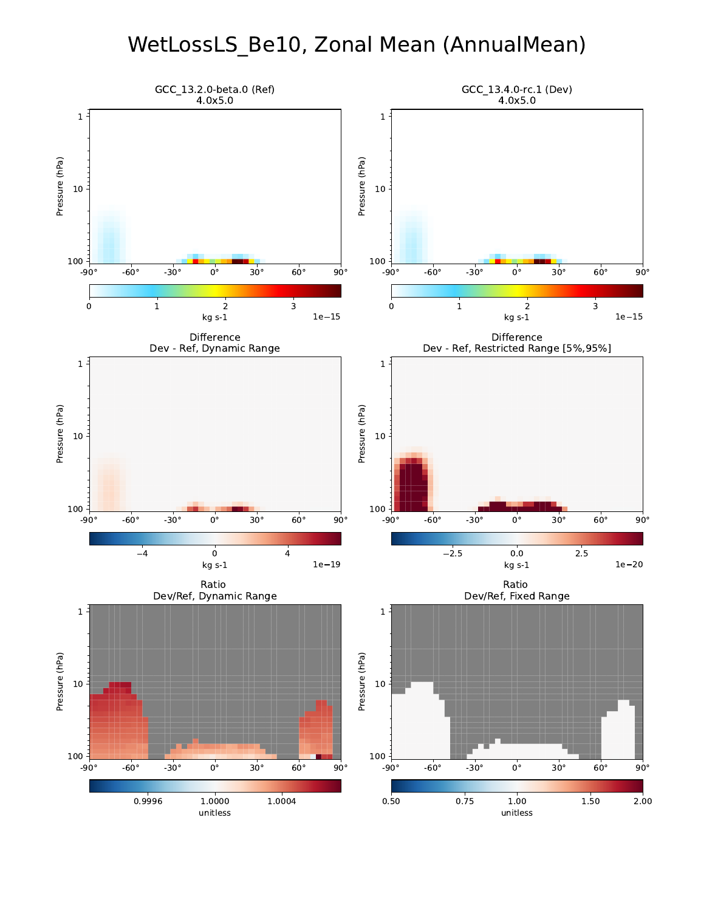### WetLossLS\_Be10, Zonal Mean (AnnualMean)

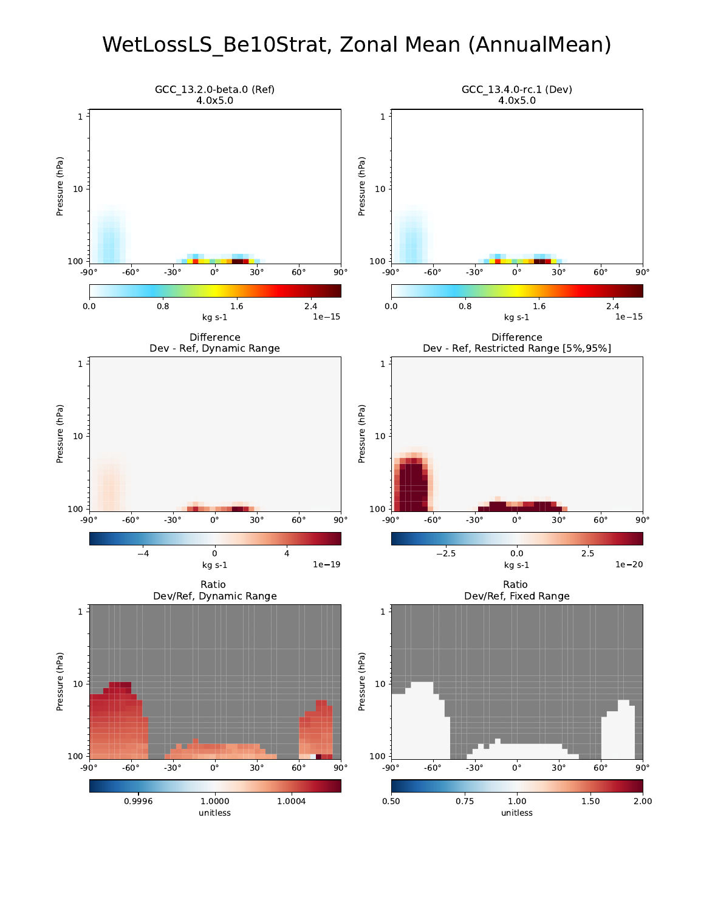## WetLossLS\_Be10Strat, Zonal Mean (AnnualMean)

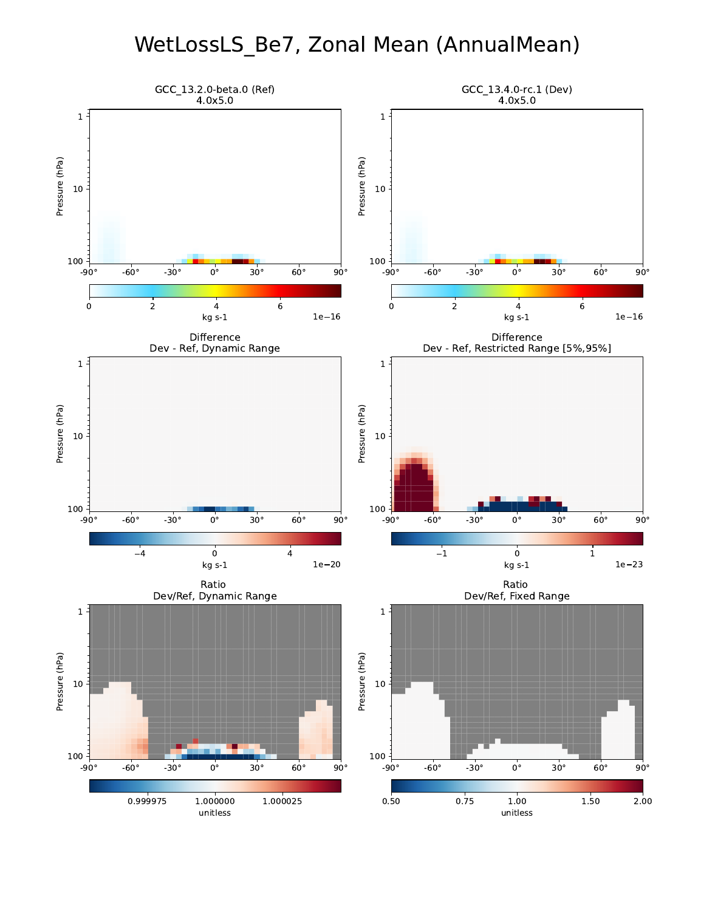### WetLossLS\_Be7, Zonal Mean (AnnualMean)

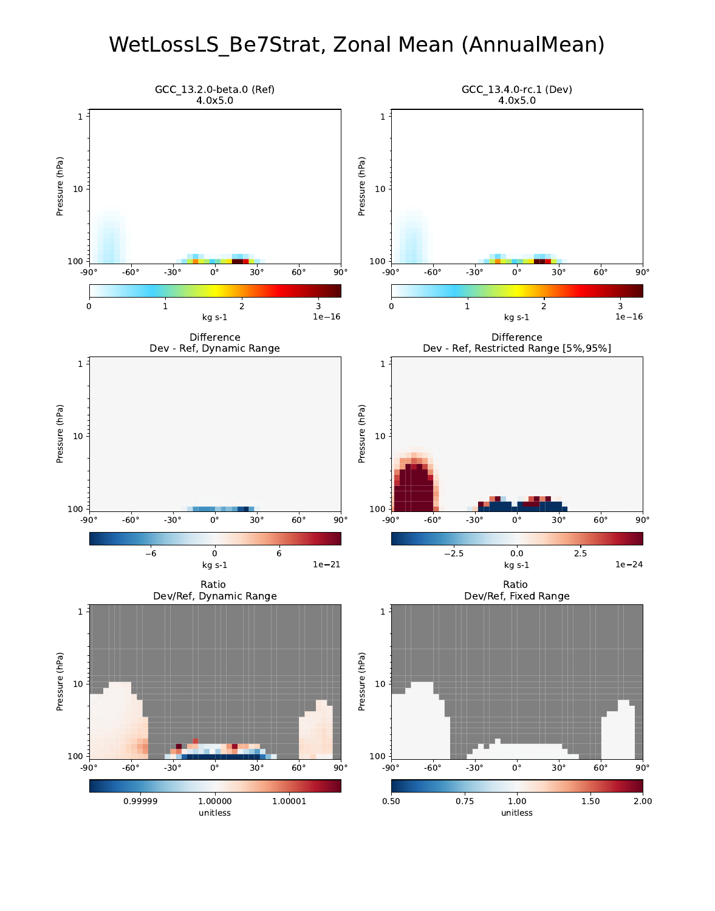### WetLossLS\_Be7Strat, Zonal Mean (AnnualMean)

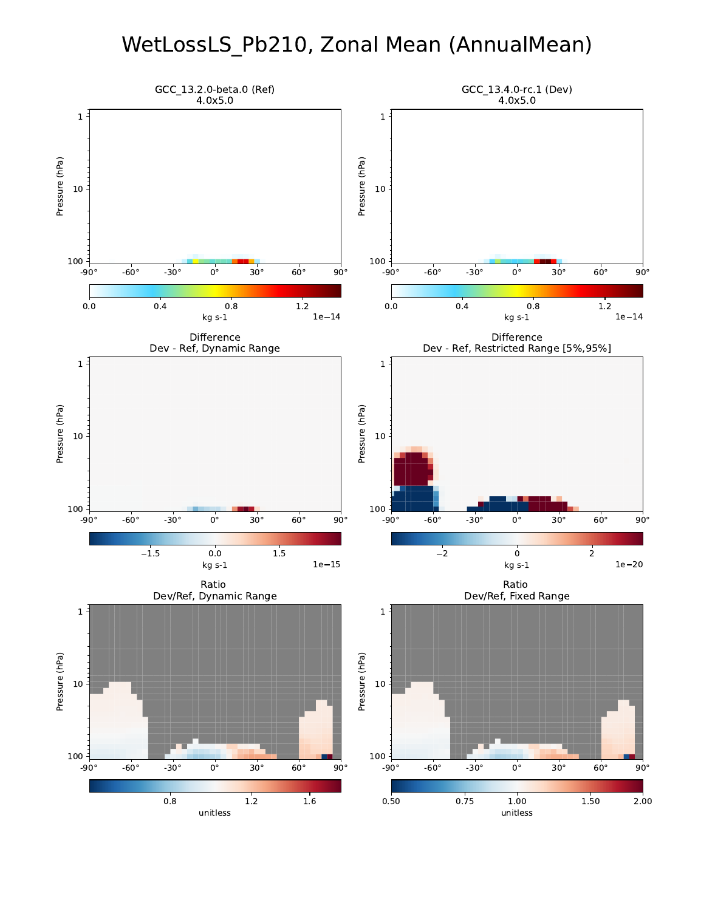### WetLossLS\_Pb210, Zonal Mean (AnnualMean)